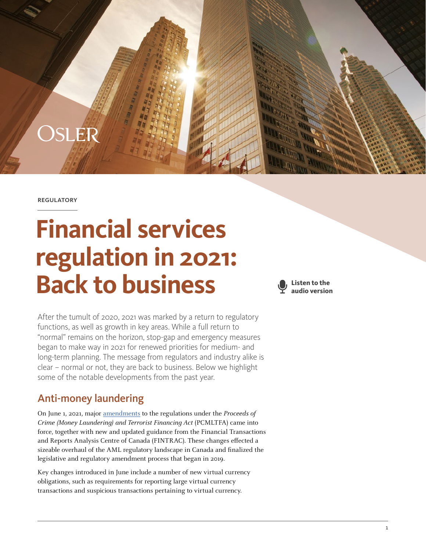

OSLER

# **Financial services regulation in 2021: Back to business**



After the tumult of 2020, 2021 was marked by a return to regulatory functions, as well as growth in key areas. While a full return to "normal" remains on the horizon, stop-gap and emergency measures began to make way in 2021 for renewed priorities for medium- and long-term planning. The message from regulators and industry alike is clear – normal or not, they are back to business. Below we highlight some of the notable developments from the past year.

# Anti-money laundering

On June 1, 2021, major [amendments](https://www.fintrac-canafe.gc.ca/covid19/2021-06-01-eng) to the regulations under the Proceeds of Crime (Money Laundering) and Terrorist Financing Act (PCMLTFA) came into force, together with new and updated guidance from the Financial Transactions and Reports Analysis Centre of Canada (FINTRAC). These changes effected a sizeable overhaul of the AML regulatory landscape in Canada and finalized the legislative and regulatory amendment process that began in 2019.

Key changes introduced in June include a number of new virtual currency obligations, such as requirements for reporting large virtual currency transactions and suspicious transactions pertaining to virtual currency.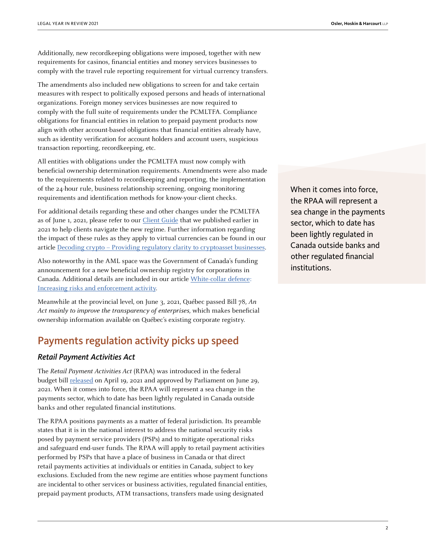Additionally, new recordkeeping obligations were imposed, together with new requirements for casinos, financial entities and money services businesses to comply with the travel rule reporting requirement for virtual currency transfers.

The amendments also included new obligations to screen for and take certain measures with respect to politically exposed persons and heads of international organizations. Foreign money services businesses are now required to comply with the full suite of requirements under the PCMLTFA. Compliance obligations for financial entities in relation to prepaid payment products now align with other account-based obligations that financial entities already have, such as identity verification for account holders and account users, suspicious transaction reporting, recordkeeping, etc.

All entities with obligations under the PCMLTFA must now comply with beneficial ownership determination requirements. Amendments were also made to the requirements related to recordkeeping and reporting, the implementation of the 24-hour rule, business relationship screening, ongoing monitoring requirements and identification methods for know-your-client checks.

For additional details regarding these and other changes under the PCMLTFA as of June 1, 2021, please refer to our [Client Guide](https://www.osler.com/en/resources/in-focus/anti-money-laundering-in-canada-a-guide-to-the-june-1-2021-changes) that we published earlier in 2021 to help clients navigate the new regime. Further information regarding the impact of these rules as they apply to virtual currencies can be found in our article [Decoding crypto – Providing regulatory clarity to cryptoasset businesses.](https://legalyearinreview.ca/decoding-crypto-providing-regulatory-clarity-to-cryptoasset-businesses/)

Also noteworthy in the AML space was the Government of Canada's funding announcement for a new beneficial ownership registry for corporations in Canada. Additional details are included in our article [White-collar defence:](https://legalyearinreview.ca/white-collar-defence-increasing-risks-and-enforcement-activity/)  [Increasing risks and enforcement activity](https://legalyearinreview.ca/white-collar-defence-increasing-risks-and-enforcement-activity/).

Meanwhile at the provincial level, on June 3, 2021, Québec passed Bill 78, An Act mainly to improve the transparency of enterprises, which makes beneficial ownership information available on Québec's existing corporate registry.

# Payments regulation activity picks up speed

#### *Retail Payment Activities Act*

The Retail Payment Activities Act (RPAA) was introduced in the federal budget bill [released](https://www.budget.gc.ca/2021/report-rapport/toc-tdm-en.html) on April 19, 2021 and approved by Parliament on June 29, 2021. When it comes into force, the RPAA will represent a sea change in the payments sector, which to date has been lightly regulated in Canada outside banks and other regulated financial institutions.

The RPAA positions payments as a matter of federal jurisdiction. Its preamble states that it is in the national interest to address the national security risks posed by payment service providers (PSPs) and to mitigate operational risks and safeguard end-user funds. The RPAA will apply to retail payment activities performed by PSPs that have a place of business in Canada or that direct retail payments activities at individuals or entities in Canada, subject to key exclusions. Excluded from the new regime are entities whose payment functions are incidental to other services or business activities, regulated financial entities, prepaid payment products, ATM transactions, transfers made using designated

When it comes into force, the RPAA will represent a sea change in the payments sector, which to date has been lightly regulated in Canada outside banks and other regulated financial institutions.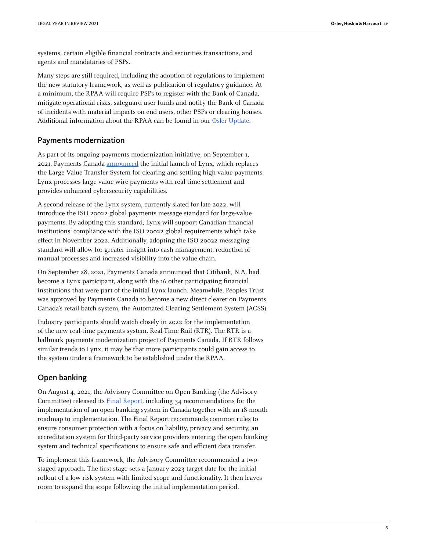systems, certain eligible financial contracts and securities transactions, and agents and mandataries of PSPs.

Many steps are still required, including the adoption of regulations to implement the new statutory framework, as well as publication of regulatory guidance. At a minimum, the RPAA will require PSPs to register with the Bank of Canada, mitigate operational risks, safeguard user funds and notify the Bank of Canada of incidents with material impacts on end users, other PSPs or clearing houses. Additional information about the RPAA can be found in our [Osler Update](https://www.osler.com/en/resources/regulations/2021/levelling-up-payment-services-providers-to-be-subject-to-bank-of-canada-oversight-under-the-new-ret?utm_source=invitation&utm_campaign=2021_10_19_retail_payment_activities_act&utm_medium=email).

#### Payments modernization

As part of its ongoing payments modernization initiative, on September 1, 2021, Payments Canada [announced](https://www.payments.ca/%C3%A0-propos/nouvelles/payments-canada-launches-lynx-canada%E2%80%99s-new-high-value-payment-system) the initial launch of Lynx, which replaces the Large Value Transfer System for clearing and settling high-value payments. Lynx processes large-value wire payments with real-time settlement and provides enhanced cybersecurity capabilities.

A second release of the Lynx system, currently slated for late 2022, will introduce the ISO 20022 global payments message standard for large-value payments. By adopting this standard, Lynx will support Canadian financial institutions' compliance with the ISO 20022 global requirements which take effect in November 2022. Additionally, adopting the ISO 20022 messaging standard will allow for greater insight into cash management, reduction of manual processes and increased visibility into the value chain.

On September 28, 2021, Payments Canada announced that Citibank, N.A. had become a Lynx participant, along with the 16 other participating financial institutions that were part of the initial Lynx launch. Meanwhile, Peoples Trust was approved by Payments Canada to become a new direct clearer on Payments Canada's retail batch system, the Automated Clearing Settlement System (ACSS).

Industry participants should watch closely in 2022 for the implementation of the new real-time payments system, Real-Time Rail (RTR). The RTR is a hallmark payments modernization project of Payments Canada. If RTR follows similar trends to Lynx, it may be that more participants could gain access to the system under a framework to be established under the RPAA.

#### Open banking

On August 4, 2021, the Advisory Committee on Open Banking (the Advisory Committee) released its [Final Report,](https://www.canada.ca/en/department-finance/programs/consultations/2021/final-report-advisory-committee-open-banking.html) including 34 recommendations for the implementation of an open banking system in Canada together with an 18-month roadmap to implementation. The Final Report recommends common rules to ensure consumer protection with a focus on liability, privacy and security, an accreditation system for third-party service providers entering the open banking system and technical specifications to ensure safe and efficient data transfer.

To implement this framework, the Advisory Committee recommended a twostaged approach. The first stage sets a January 2023 target date for the initial rollout of a low-risk system with limited scope and functionality. It then leaves room to expand the scope following the initial implementation period.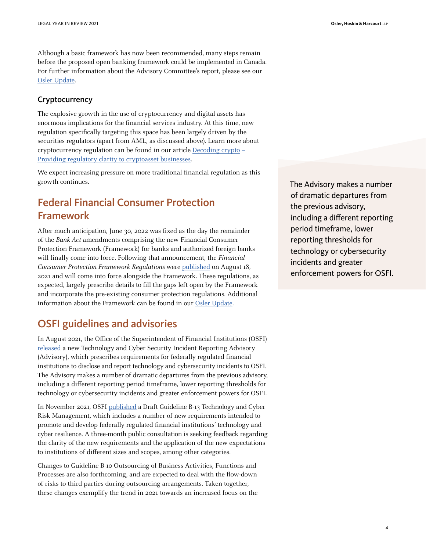Although a basic framework has now been recommended, many steps remain before the proposed open banking framework could be implemented in Canada. For further information about the Advisory Committee's report, please see our [Osler Update](https://www.osler.com/en/blogs/risk/august-2021/advisory-committee-on-open-banking-releases-final-report).

#### Cryptocurrency

The explosive growth in the use of cryptocurrency and digital assets has enormous implications for the financial services industry. At this time, new regulation specifically targeting this space has been largely driven by the securities regulators (apart from AML, as discussed above). Learn more about cryptocurrency regulation can be found in our article [Decoding crypto –](https://legalyearinreview.ca/decoding-crypto-providing-regulatory-clarity-to-cryptoasset-businesses/)  [Providing regulatory clarity to cryptoasset businesses](https://legalyearinreview.ca/decoding-crypto-providing-regulatory-clarity-to-cryptoasset-businesses/).

We expect increasing pressure on more traditional financial regulation as this growth continues.

## Federal Financial Consumer Protection Framework

After much anticipation, June 30, 2022 was fixed as the day the remainder of the Bank Act amendments comprising the new Financial Consumer Protection Framework (Framework) for banks and authorized foreign banks will finally come into force. Following that announcement, the Financial Consumer Protection Framework Regulations were [published](https://www.gazette.gc.ca/rp-pr/p2/2021/2021-08-18/html/sor-dors181-eng.html) on August 18, 2021 and will come into force alongside the Framework. These regulations, as expected, largely prescribe details to fill the gaps left open by the Framework and incorporate the pre-existing consumer protection regulations. Additional information about the Framework can be found in our [Osler Update](https://www.osler.com/en/resources/regulations/2021/federal-financial-consumer-protection-framework-in-force-date-announced-new-regulations-published).

## OSFI guidelines and advisories

In August 2021, the Office of the Superintendent of Financial Institutions (OSFI) [released](https://www.osfi-bsif.gc.ca/Eng/fi-if/rg-ro/gdn-ort/adv-prv/Pages/TCSIR.aspx) a new Technology and Cyber Security Incident Reporting Advisory (Advisory), which prescribes requirements for federally regulated financial institutions to disclose and report technology and cybersecurity incidents to OSFI. The Advisory makes a number of dramatic departures from the previous advisory, including a different reporting period timeframe, lower reporting thresholds for technology or cybersecurity incidents and greater enforcement powers for OSFI.

In November 2021, OSFI [published](https://www.osfi-bsif.gc.ca/Eng/fi-if/rg-ro/gdn-ort/gl-ld/Pages/b13.aspx) a Draft Guideline B-13 Technology and Cyber Risk Management, which includes a number of new requirements intended to promote and develop federally regulated financial institutions' technology and cyber resilience. A three-month public consultation is seeking feedback regarding the clarity of the new requirements and the application of the new expectations to institutions of different sizes and scopes, among other categories.

Changes to Guideline B-10 Outsourcing of Business Activities, Functions and Processes are also forthcoming, and are expected to deal with the flow-down of risks to third parties during outsourcing arrangements. Taken together, these changes exemplify the trend in 2021 towards an increased focus on the The Advisory makes a number of dramatic departures from the previous advisory, including a different reporting period timeframe, lower reporting thresholds for technology or cybersecurity incidents and greater enforcement powers for OSFI.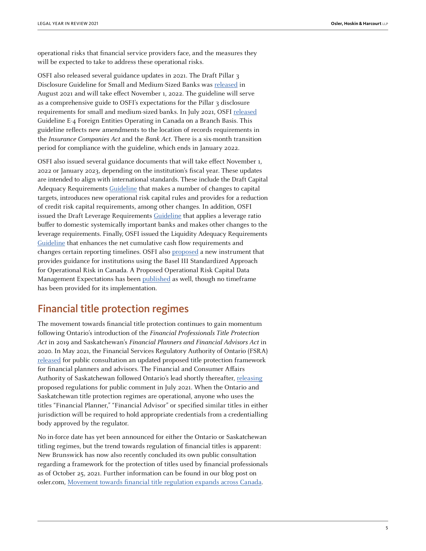operational risks that financial service providers face, and the measures they will be expected to take to address these operational risks.

OSFI also released several guidance updates in 2021. The Draft Pillar 3 Disclosure Guideline for Small and Medium-Sized Banks was [released](https://www.osfi-bsif.gc.ca/Eng/fi-if/rg-ro/gdn-ort/gl-ld/Pages/plr3-dft23-smsb.aspx) in August 2021 and will take effect November 1, 2022. The guideline will serve as a comprehensive guide to OSFI's expectations for the Pillar 3 disclosure requirements for small and medium-sized banks. In July 2021, OSFI [released](https://www.osfi-bsif.gc.ca/Eng/fi-if/rg-ro/gdn-ort/gl-ld/Pages/E4.aspx) Guideline E-4 Foreign Entities Operating in Canada on a Branch Basis. This guideline reflects new amendments to the location of records requirements in the Insurance Companies Act and the Bank Act. There is a six-month transition period for compliance with the guideline, which ends in January 2022.

OSFI also issued several guidance documents that will take effect November 1, 2022 or January 2023, depending on the institution's fiscal year. These updates are intended to align with international standards. These include the Draft Capital Adequacy Requirements [Guideline](https://www.osfi-bsif.gc.ca/Eng/fi-if/rg-ro/gdn-ort/gl-ld/Pages/CAR22_index.aspx) that makes a number of changes to capital targets, introduces new operational risk capital rules and provides for a reduction of credit risk capital requirements, among other changes. In addition, OSFI issued the Draft Leverage Requirements [Guideline](https://www.osfi-bsif.gc.ca/Eng/fi-if/rg-ro/gdn-ort/gl-ld/Pages/LR22.aspx) that applies a leverage ratio buffer to domestic systemically important banks and makes other changes to the leverage requirements. Finally, OSFI issued the Liquidity Adequacy Requirements [Guideline](https://www.osfi-bsif.gc.ca/Eng/fi-if/rg-ro/gdn-ort/gl-ld/Pages/LAR22_index.aspx) that enhances the net cumulative cash flow requirements and changes certain reporting timelines. OSFI also [proposed](https://www.osfi-bsif.gc.ca/Eng/fi-if/rg-ro/gdn-ort/gl-ld/Pages/oprsk23-let.aspx) a new instrument that provides guidance for institutions using the Basel III Standardized Approach for Operational Risk in Canada. A Proposed Operational Risk Capital Data Management Expectations has been [published](https://www.osfi-bsif.gc.ca/Eng/fi-if/rg-ro/gdn-ort/gl-ld/Pages/oprsk23-let.aspx) as well, though no timeframe has been provided for its implementation.

## Financial title protection regimes

The movement towards financial title protection continues to gain momentum following Ontario's introduction of the Financial Professionals Title Protection Act in 2019 and Saskatchewan's Financial Planners and Financial Advisors Act in 2020. In May 2021, the Financial Services Regulatory Authority of Ontario (FSRA) [released](https://www.fsrao.ca/industry/financial-planners-and-advisors-sector/notice-changes-and-request-further-comment-fptp-rule) for public consultation an updated proposed title protection framework for financial planners and advisors. The Financial and Consumer Affairs Authority of Saskatchewan followed Ontario's lead shortly thereafter, [releasing](https://fcaa.gov.sk.ca/public/CKeditorUpload/Securities/2021/Notice_and_Request_for_Comment__-_FPFA_Reg.pdf) proposed regulations for public comment in July 2021. When the Ontario and Saskatchewan title protection regimes are operational, anyone who uses the titles "Financial Planner," "Financial Advisor" or specified similar titles in either jurisdiction will be required to hold appropriate credentials from a credentialling body approved by the regulator.

No in-force date has yet been announced for either the Ontario or Saskatchewan titling regimes, but the trend towards regulation of financial titles is apparent: New Brunswick has now also recently concluded its own public consultation regarding a framework for the protection of titles used by financial professionals as of October 25, 2021. Further information can be found in our blog post on osler.com, [Movement towards financial title regulation expands across Canada](https://www.osler.com/en/blogs/risk/september-2021/movement-towards-financial-title-regulation-expands-across-canada).